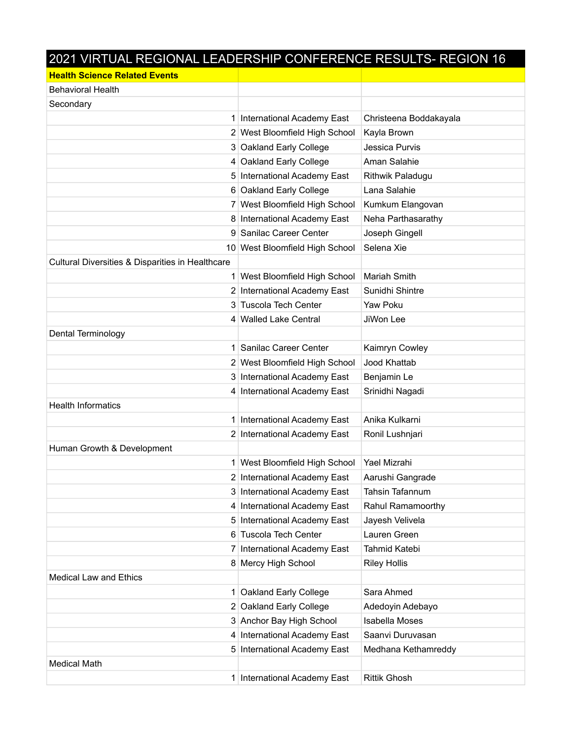## 2021 VIRTUAL REGIONAL LEADERSHIP CONFERENCE RESULTS- REGION 16

| <b>Health Science Related Events</b>             |                                |                        |
|--------------------------------------------------|--------------------------------|------------------------|
| <b>Behavioral Health</b>                         |                                |                        |
| Secondary                                        |                                |                        |
|                                                  | 1 International Academy East   | Christeena Boddakayala |
|                                                  | 2 West Bloomfield High School  | Kayla Brown            |
|                                                  | 3 Oakland Early College        | Jessica Purvis         |
|                                                  | 4 Oakland Early College        | Aman Salahie           |
|                                                  | 5 International Academy East   | Rithwik Paladugu       |
|                                                  | 6 Oakland Early College        | Lana Salahie           |
|                                                  | 7 West Bloomfield High School  | Kumkum Elangovan       |
|                                                  | 8 International Academy East   | Neha Parthasarathy     |
|                                                  | 9 Sanilac Career Center        | Joseph Gingell         |
|                                                  | 10 West Bloomfield High School | Selena Xie             |
| Cultural Diversities & Disparities in Healthcare |                                |                        |
|                                                  | 1 West Bloomfield High School  | Mariah Smith           |
|                                                  | 2 International Academy East   | Sunidhi Shintre        |
|                                                  | 3 Tuscola Tech Center          | Yaw Poku               |
|                                                  | 4 Walled Lake Central          | JiWon Lee              |
| Dental Terminology                               |                                |                        |
| 1 <sup>1</sup>                                   | Sanilac Career Center          | Kaimryn Cowley         |
|                                                  | 2 West Bloomfield High School  | Jood Khattab           |
|                                                  | 3 International Academy East   | Benjamin Le            |
|                                                  | 4 International Academy East   | Srinidhi Nagadi        |
| <b>Health Informatics</b>                        |                                |                        |
|                                                  | International Academy East     | Anika Kulkarni         |
|                                                  | 2 International Academy East   | Ronil Lushnjari        |
| Human Growth & Development                       |                                |                        |
|                                                  | 1 West Bloomfield High School  | Yael Mizrahi           |
|                                                  | 2 International Academy East   | Aarushi Gangrade       |
|                                                  | 3 International Academy East   | Tahsin Tafannum        |
|                                                  | 4 International Academy East   | Rahul Ramamoorthy      |
|                                                  | 5 International Academy East   | Jayesh Velivela        |
|                                                  | 6 Tuscola Tech Center          | Lauren Green           |
| 7 <sup>1</sup>                                   | International Academy East     | Tahmid Katebi          |
|                                                  | 8 Mercy High School            | <b>Riley Hollis</b>    |
| <b>Medical Law and Ethics</b>                    |                                |                        |
| 1 <sup>1</sup>                                   | Oakland Early College          | Sara Ahmed             |
|                                                  | 2 Oakland Early College        | Adedoyin Adebayo       |
|                                                  | 3 Anchor Bay High School       | <b>Isabella Moses</b>  |
|                                                  | 4 International Academy East   | Saanvi Duruvasan       |
| 5                                                | International Academy East     | Medhana Kethamreddy    |
| <b>Medical Math</b>                              |                                |                        |
| 1                                                | International Academy East     | <b>Rittik Ghosh</b>    |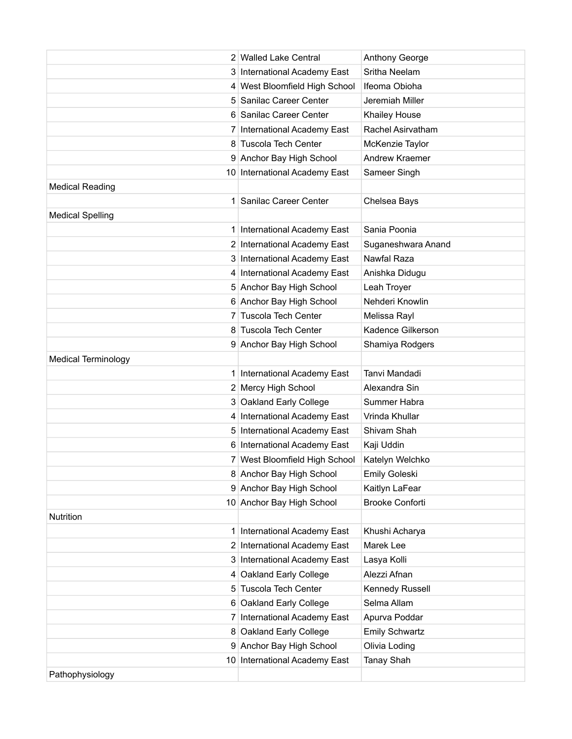|                            | 2 Walled Lake Central         | Anthony George         |
|----------------------------|-------------------------------|------------------------|
|                            | 3 International Academy East  | Sritha Neelam          |
|                            | 4 West Bloomfield High School | Ifeoma Obioha          |
|                            | 5 Sanilac Career Center       | Jeremiah Miller        |
|                            | 6 Sanilac Career Center       | Khailey House          |
|                            | International Academy East    | Rachel Asirvatham      |
|                            | 8 Tuscola Tech Center         | McKenzie Taylor        |
|                            | 9 Anchor Bay High School      | Andrew Kraemer         |
|                            | 10 International Academy East | Sameer Singh           |
| <b>Medical Reading</b>     |                               |                        |
|                            | 1 Sanilac Career Center       | Chelsea Bays           |
| <b>Medical Spelling</b>    |                               |                        |
|                            | 1 International Academy East  | Sania Poonia           |
|                            | 2 International Academy East  | Suganeshwara Anand     |
|                            | 3 International Academy East  | Nawfal Raza            |
|                            | 4 International Academy East  | Anishka Didugu         |
|                            | 5 Anchor Bay High School      | Leah Troyer            |
|                            | 6 Anchor Bay High School      | Nehderi Knowlin        |
| 7 <sup>1</sup>             | <b>Tuscola Tech Center</b>    | Melissa Rayl           |
|                            | 8 Tuscola Tech Center         | Kadence Gilkerson      |
|                            | 9 Anchor Bay High School      | Shamiya Rodgers        |
| <b>Medical Terminology</b> |                               |                        |
|                            | 1 International Academy East  | Tanvi Mandadi          |
|                            | 2 Mercy High School           | Alexandra Sin          |
|                            | 3 Oakland Early College       | Summer Habra           |
|                            | 4 International Academy East  | Vrinda Khullar         |
|                            | 5 International Academy East  | Shivam Shah            |
|                            | 6 International Academy East  | Kaji Uddin             |
|                            | 7 West Bloomfield High School | Katelyn Welchko        |
|                            | 8 Anchor Bay High School      | Emily Goleski          |
|                            | 9 Anchor Bay High School      | Kaitlyn LaFear         |
|                            | 10 Anchor Bay High School     | <b>Brooke Conforti</b> |
| Nutrition                  |                               |                        |
| 1 <sup>1</sup>             | International Academy East    | Khushi Acharya         |
|                            | 2 International Academy East  | Marek Lee              |
|                            | 3 International Academy East  | Lasya Kolli            |
|                            | 4 Oakland Early College       | Alezzi Afnan           |
|                            | 5 Tuscola Tech Center         | Kennedy Russell        |
|                            | 6 Oakland Early College       | Selma Allam            |
| 7 <sup>1</sup>             | International Academy East    | Apurva Poddar          |
|                            | 8 Oakland Early College       | <b>Emily Schwartz</b>  |
|                            | 9 Anchor Bay High School      | Olivia Loding          |
| 10 <sup>1</sup>            | International Academy East    | Tanay Shah             |
| Pathophysiology            |                               |                        |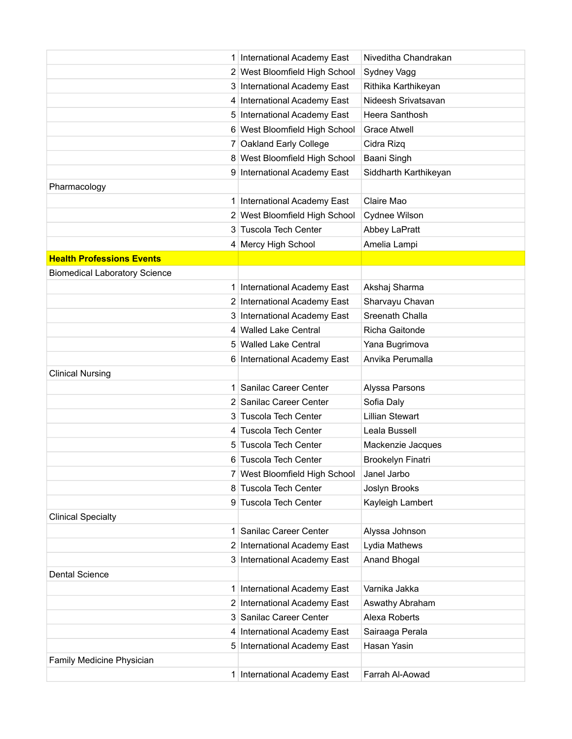|                                      | 1 International Academy East  | Niveditha Chandrakan   |
|--------------------------------------|-------------------------------|------------------------|
|                                      | 2 West Bloomfield High School | Sydney Vagg            |
|                                      | 3 International Academy East  | Rithika Karthikeyan    |
|                                      | 4 International Academy East  | Nideesh Srivatsavan    |
|                                      | 5 International Academy East  | Heera Santhosh         |
|                                      | 6 West Bloomfield High School | <b>Grace Atwell</b>    |
|                                      | 7 Oakland Early College       | Cidra Rizq             |
|                                      | 8 West Bloomfield High School | Baani Singh            |
|                                      | 9 International Academy East  | Siddharth Karthikeyan  |
| Pharmacology                         |                               |                        |
|                                      | 1 International Academy East  | Claire Mao             |
|                                      | 2 West Bloomfield High School | Cydnee Wilson          |
|                                      | 3 Tuscola Tech Center         | Abbey LaPratt          |
|                                      | 4 Mercy High School           | Amelia Lampi           |
| <b>Health Professions Events</b>     |                               |                        |
| <b>Biomedical Laboratory Science</b> |                               |                        |
|                                      | 1 International Academy East  | Akshaj Sharma          |
|                                      | 2 International Academy East  | Sharvayu Chavan        |
|                                      | 3 International Academy East  | Sreenath Challa        |
|                                      | 4 Walled Lake Central         | Richa Gaitonde         |
|                                      | 5 Walled Lake Central         | Yana Bugrimova         |
|                                      | 6 International Academy East  | Anvika Perumalla       |
| <b>Clinical Nursing</b>              |                               |                        |
| 1 <sup>1</sup>                       | Sanilac Career Center         | Alyssa Parsons         |
|                                      | 2 Sanilac Career Center       | Sofia Daly             |
|                                      | 3 Tuscola Tech Center         | <b>Lillian Stewart</b> |
|                                      | 4 Tuscola Tech Center         | Leala Bussell          |
|                                      | 5 Tuscola Tech Center         | Mackenzie Jacques      |
|                                      | 6 Tuscola Tech Center         | Brookelyn Finatri      |
|                                      | 7 West Bloomfield High School | Janel Jarbo            |
|                                      | 8 Tuscola Tech Center         | Joslyn Brooks          |
|                                      | 9 Tuscola Tech Center         | Kayleigh Lambert       |
| <b>Clinical Specialty</b>            |                               |                        |
| 1 <sup>1</sup>                       | Sanilac Career Center         | Alyssa Johnson         |
|                                      | 2 International Academy East  | Lydia Mathews          |
|                                      | 3 International Academy East  | Anand Bhogal           |
| <b>Dental Science</b>                |                               |                        |
| 1                                    | International Academy East    | Varnika Jakka          |
|                                      | 2 International Academy East  | Aswathy Abraham        |
|                                      | 3 Sanilac Career Center       | Alexa Roberts          |
|                                      | 4 International Academy East  | Sairaaga Perala        |
|                                      | 5 International Academy East  | Hasan Yasin            |
| Family Medicine Physician            |                               |                        |
|                                      | 1 International Academy East  | Farrah Al-Aowad        |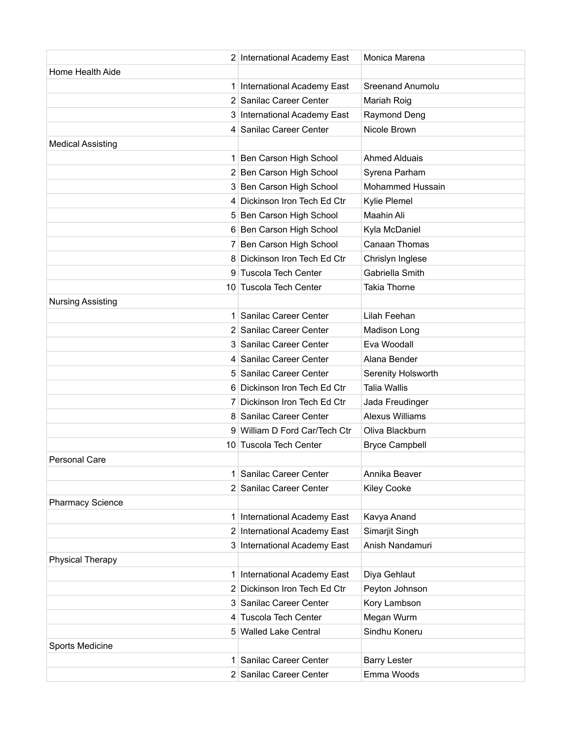|                          | 2 International Academy East | Monica Marena          |
|--------------------------|------------------------------|------------------------|
| Home Health Aide         |                              |                        |
|                          | 1 International Academy East | Sreenand Anumolu       |
|                          | 2 Sanilac Career Center      | Mariah Roig            |
|                          | 3 International Academy East | Raymond Deng           |
|                          | 4 Sanilac Career Center      | Nicole Brown           |
| <b>Medical Assisting</b> |                              |                        |
|                          | 1 Ben Carson High School     | <b>Ahmed Alduais</b>   |
|                          | 2 Ben Carson High School     | Syrena Parham          |
|                          | 3 Ben Carson High School     | Mohammed Hussain       |
|                          | 4 Dickinson Iron Tech Ed Ctr | Kylie Plemel           |
|                          | 5 Ben Carson High School     | Maahin Ali             |
|                          | 6 Ben Carson High School     | Kyla McDaniel          |
| 7 <sup>1</sup>           | Ben Carson High School       | <b>Canaan Thomas</b>   |
|                          | 8 Dickinson Iron Tech Ed Ctr | Chrislyn Inglese       |
| 9                        | <b>Tuscola Tech Center</b>   | Gabriella Smith        |
|                          | 10 Tuscola Tech Center       | <b>Takia Thorne</b>    |
| <b>Nursing Assisting</b> |                              |                        |
| 1 <sup>1</sup>           | Sanilac Career Center        | Lilah Feehan           |
|                          | 2 Sanilac Career Center      | Madison Long           |
|                          | 3 Sanilac Career Center      | Eva Woodall            |
|                          | 4 Sanilac Career Center      | Alana Bender           |
| 5.                       | Sanilac Career Center        | Serenity Holsworth     |
|                          | 6 Dickinson Iron Tech Ed Ctr | <b>Talia Wallis</b>    |
|                          | 7 Dickinson Iron Tech Ed Ctr | Jada Freudinger        |
|                          | 8 Sanilac Career Center      | <b>Alexus Williams</b> |
| 9                        | William D Ford Car/Tech Ctr  | Oliva Blackburn        |
|                          | 10 Tuscola Tech Center       | <b>Bryce Campbell</b>  |
| <b>Personal Care</b>     |                              |                        |
|                          | 1 Sanilac Career Center      | Annika Beaver          |
|                          | 2 Sanilac Career Center      | <b>Kiley Cooke</b>     |
| <b>Pharmacy Science</b>  |                              |                        |
| 1                        | International Academy East   | Kavya Anand            |
|                          | 2 International Academy East | Simarjit Singh         |
|                          | 3 International Academy East | Anish Nandamuri        |
| <b>Physical Therapy</b>  |                              |                        |
|                          | 1 International Academy East | Diya Gehlaut           |
|                          | 2 Dickinson Iron Tech Ed Ctr | Peyton Johnson         |
|                          | 3 Sanilac Career Center      | Kory Lambson           |
|                          | 4 Tuscola Tech Center        | Megan Wurm             |
|                          | 5 Walled Lake Central        | Sindhu Koneru          |
| Sports Medicine          |                              |                        |
| 1                        | Sanilac Career Center        | <b>Barry Lester</b>    |
|                          | 2 Sanilac Career Center      | Emma Woods             |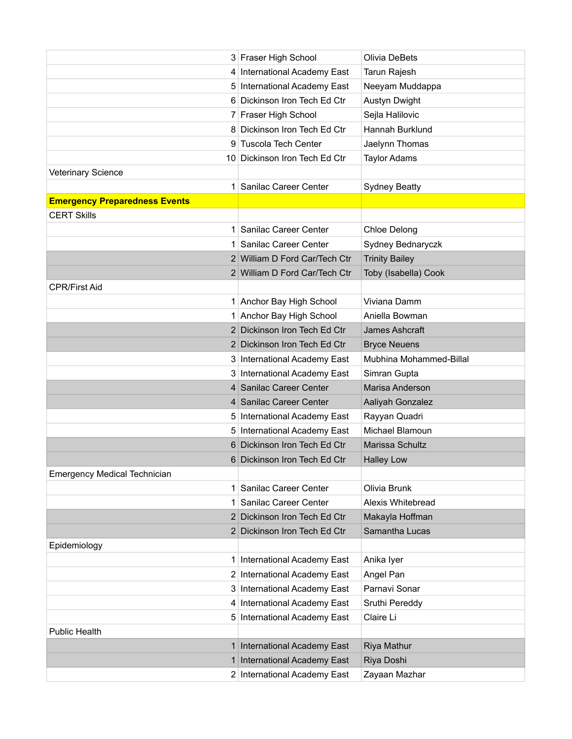|                                      | 3 Fraser High School          | Olivia DeBets           |
|--------------------------------------|-------------------------------|-------------------------|
|                                      | 4 International Academy East  | Tarun Rajesh            |
|                                      | 5 International Academy East  | Neeyam Muddappa         |
|                                      | 6 Dickinson Iron Tech Ed Ctr  | Austyn Dwight           |
|                                      | 7 Fraser High School          | Sejla Halilovic         |
|                                      | 8 Dickinson Iron Tech Ed Ctr  | Hannah Burklund         |
|                                      | 9 Tuscola Tech Center         | Jaelynn Thomas          |
|                                      | 10 Dickinson Iron Tech Ed Ctr | <b>Taylor Adams</b>     |
| <b>Veterinary Science</b>            |                               |                         |
|                                      | 1 Sanilac Career Center       | <b>Sydney Beatty</b>    |
| <b>Emergency Preparedness Events</b> |                               |                         |
| <b>CERT Skills</b>                   |                               |                         |
| 1 <sup>1</sup>                       | Sanilac Career Center         | <b>Chloe Delong</b>     |
|                                      | 1 Sanilac Career Center       | Sydney Bednaryczk       |
|                                      | 2 William D Ford Car/Tech Ctr | <b>Trinity Bailey</b>   |
|                                      | 2 William D Ford Car/Tech Ctr | Toby (Isabella) Cook    |
| <b>CPR/First Aid</b>                 |                               |                         |
|                                      | 1 Anchor Bay High School      | Viviana Damm            |
|                                      | 1 Anchor Bay High School      | Aniella Bowman          |
|                                      | 2 Dickinson Iron Tech Ed Ctr  | James Ashcraft          |
|                                      | 2 Dickinson Iron Tech Ed Ctr  | <b>Bryce Neuens</b>     |
|                                      | 3 International Academy East  | Mubhina Mohammed-Billal |
|                                      | 3 International Academy East  | Simran Gupta            |
|                                      | 4 Sanilac Career Center       | Marisa Anderson         |
|                                      | 4 Sanilac Career Center       | Aaliyah Gonzalez        |
|                                      | 5 International Academy East  | Rayyan Quadri           |
|                                      | 5 International Academy East  | Michael Blamoun         |
|                                      | 6 Dickinson Iron Tech Ed Ctr  | Marissa Schultz         |
|                                      | 6 Dickinson Iron Tech Ed Ctr  | <b>Halley Low</b>       |
| <b>Emergency Medical Technician</b>  |                               |                         |
| 1 <sup>1</sup>                       | Sanilac Career Center         | Olivia Brunk            |
| 1.                                   | Sanilac Career Center         | Alexis Whitebread       |
|                                      | 2 Dickinson Iron Tech Ed Ctr  | Makayla Hoffman         |
|                                      | 2 Dickinson Iron Tech Ed Ctr  | Samantha Lucas          |
| Epidemiology                         |                               |                         |
| 1                                    | International Academy East    | Anika Iyer              |
|                                      | 2 International Academy East  | Angel Pan               |
|                                      | 3 International Academy East  | Parnavi Sonar           |
|                                      | 4 International Academy East  | Sruthi Pereddy          |
|                                      | 5 International Academy East  | Claire Li               |
| <b>Public Health</b>                 |                               |                         |
| 1 <sup>1</sup>                       | International Academy East    | Riya Mathur             |
| 1                                    | International Academy East    | Riya Doshi              |
|                                      | 2 International Academy East  | Zayaan Mazhar           |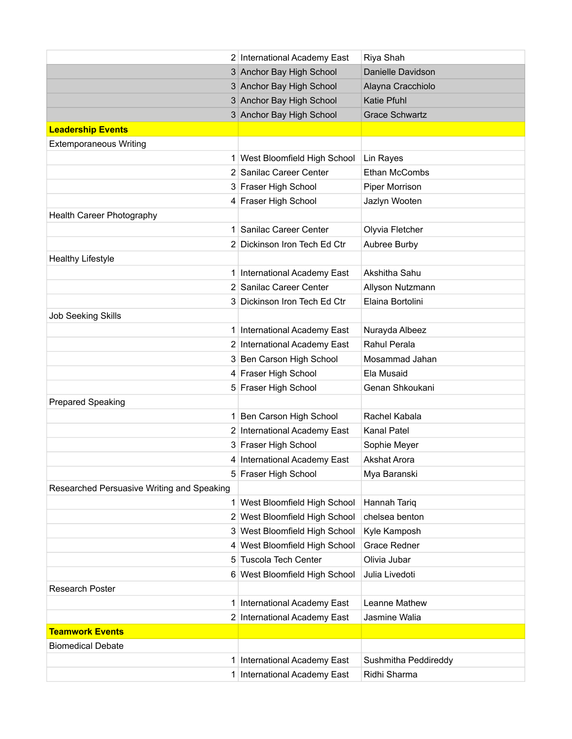|                                            | 2 International Academy East  | Riya Shah             |
|--------------------------------------------|-------------------------------|-----------------------|
|                                            | 3 Anchor Bay High School      | Danielle Davidson     |
|                                            | 3 Anchor Bay High School      | Alayna Cracchiolo     |
|                                            | 3 Anchor Bay High School      | Katie Pfuhl           |
|                                            | 3 Anchor Bay High School      | <b>Grace Schwartz</b> |
| <b>Leadership Events</b>                   |                               |                       |
| <b>Extemporaneous Writing</b>              |                               |                       |
|                                            | 1 West Bloomfield High School | Lin Rayes             |
|                                            | 2 Sanilac Career Center       | Ethan McCombs         |
|                                            | 3 Fraser High School          | Piper Morrison        |
|                                            | 4 Fraser High School          | Jazlyn Wooten         |
| Health Career Photography                  |                               |                       |
|                                            | 1 Sanilac Career Center       | Olyvia Fletcher       |
|                                            | 2 Dickinson Iron Tech Ed Ctr  | Aubree Burby          |
| <b>Healthy Lifestyle</b>                   |                               |                       |
|                                            | 1 International Academy East  | Akshitha Sahu         |
|                                            | 2 Sanilac Career Center       | Allyson Nutzmann      |
|                                            | 3 Dickinson Iron Tech Ed Ctr  | Elaina Bortolini      |
| <b>Job Seeking Skills</b>                  |                               |                       |
|                                            | 1 International Academy East  | Nurayda Albeez        |
|                                            | 2 International Academy East  | Rahul Perala          |
|                                            | 3 Ben Carson High School      | Mosammad Jahan        |
|                                            | 4 Fraser High School          | Ela Musaid            |
|                                            | 5 Fraser High School          | Genan Shkoukani       |
| <b>Prepared Speaking</b>                   |                               |                       |
|                                            | 1 Ben Carson High School      | Rachel Kabala         |
|                                            | 2 International Academy East  | <b>Kanal Patel</b>    |
|                                            | 3 Fraser High School          | Sophie Meyer          |
|                                            | 4 International Academy East  | <b>Akshat Arora</b>   |
|                                            | 5 Fraser High School          | Mya Baranski          |
| Researched Persuasive Writing and Speaking |                               |                       |
| 1 <sup>1</sup>                             | West Bloomfield High School   | Hannah Tariq          |
| 2 <sup>1</sup>                             | West Bloomfield High School   | chelsea benton        |
|                                            | 3 West Bloomfield High School | Kyle Kamposh          |
|                                            | 4 West Bloomfield High School | <b>Grace Redner</b>   |
| 5                                          | <b>Tuscola Tech Center</b>    | Olivia Jubar          |
|                                            | 6 West Bloomfield High School | Julia Livedoti        |
| Research Poster                            |                               |                       |
| $\mathbf{1}$                               | International Academy East    | Leanne Mathew         |
|                                            | 2 International Academy East  | Jasmine Walia         |
| <b>Teamwork Events</b>                     |                               |                       |
| <b>Biomedical Debate</b>                   |                               |                       |
| 1 <sup>1</sup>                             | International Academy East    | Sushmitha Peddireddy  |
|                                            | 1 International Academy East  | Ridhi Sharma          |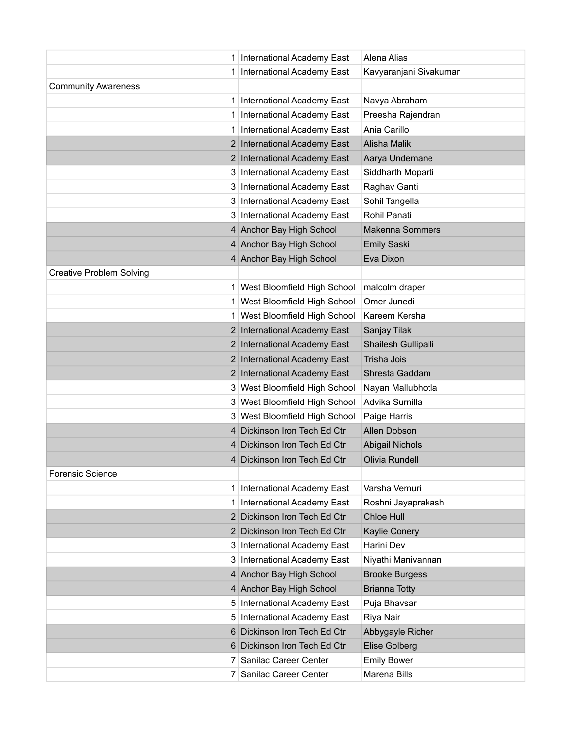|                                 | 1 International Academy East  | Alena Alias            |
|---------------------------------|-------------------------------|------------------------|
| 1                               | International Academy East    | Kavyaranjani Sivakumar |
| <b>Community Awareness</b>      |                               |                        |
|                                 | 1 International Academy East  | Navya Abraham          |
|                                 | 1 International Academy East  | Preesha Rajendran      |
|                                 | International Academy East    | Ania Carillo           |
|                                 | 2 International Academy East  | Alisha Malik           |
|                                 | 2 International Academy East  | Aarya Undemane         |
|                                 | 3 International Academy East  | Siddharth Moparti      |
|                                 | 3 International Academy East  | Raghav Ganti           |
|                                 | 3 International Academy East  | Sohil Tangella         |
|                                 | 3 International Academy East  | Rohil Panati           |
|                                 | 4 Anchor Bay High School      | <b>Makenna Sommers</b> |
|                                 | 4 Anchor Bay High School      | <b>Emily Saski</b>     |
|                                 | 4 Anchor Bay High School      | Eva Dixon              |
| <b>Creative Problem Solving</b> |                               |                        |
|                                 | 1 West Bloomfield High School | malcolm draper         |
|                                 | 1 West Bloomfield High School | Omer Junedi            |
|                                 | 1 West Bloomfield High School | Kareem Kersha          |
|                                 | 2 International Academy East  | Sanjay Tilak           |
|                                 | 2 International Academy East  | Shailesh Gullipalli    |
|                                 | 2 International Academy East  | Trisha Jois            |
|                                 | 2 International Academy East  | Shresta Gaddam         |
|                                 | 3 West Bloomfield High School | Nayan Mallubhotla      |
|                                 | 3 West Bloomfield High School | Advika Surnilla        |
|                                 | 3 West Bloomfield High School | Paige Harris           |
|                                 | 4 Dickinson Iron Tech Ed Ctr  | Allen Dobson           |
|                                 | 4 Dickinson Iron Tech Ed Ctr  | <b>Abigail Nichols</b> |
|                                 | 4 Dickinson Iron Tech Ed Ctr  | Olivia Rundell         |
| <b>Forensic Science</b>         |                               |                        |
|                                 | 1 International Academy East  | Varsha Vemuri          |
|                                 | 1 International Academy East  | Roshni Jayaprakash     |
|                                 | 2 Dickinson Iron Tech Ed Ctr  | Chloe Hull             |
|                                 | 2 Dickinson Iron Tech Ed Ctr  | <b>Kaylie Conery</b>   |
|                                 | 3 International Academy East  | Harini Dev             |
|                                 | 3 International Academy East  | Niyathi Manivannan     |
|                                 | 4 Anchor Bay High School      | <b>Brooke Burgess</b>  |
|                                 | 4 Anchor Bay High School      | <b>Brianna Totty</b>   |
| 5                               | International Academy East    | Puja Bhavsar           |
|                                 | 5 International Academy East  | Riya Nair              |
|                                 | 6 Dickinson Iron Tech Ed Ctr  | Abbygayle Richer       |
|                                 | 6 Dickinson Iron Tech Ed Ctr  | <b>Elise Golberg</b>   |
|                                 | 7 Sanilac Career Center       | <b>Emily Bower</b>     |
|                                 | 7 Sanilac Career Center       | Marena Bills           |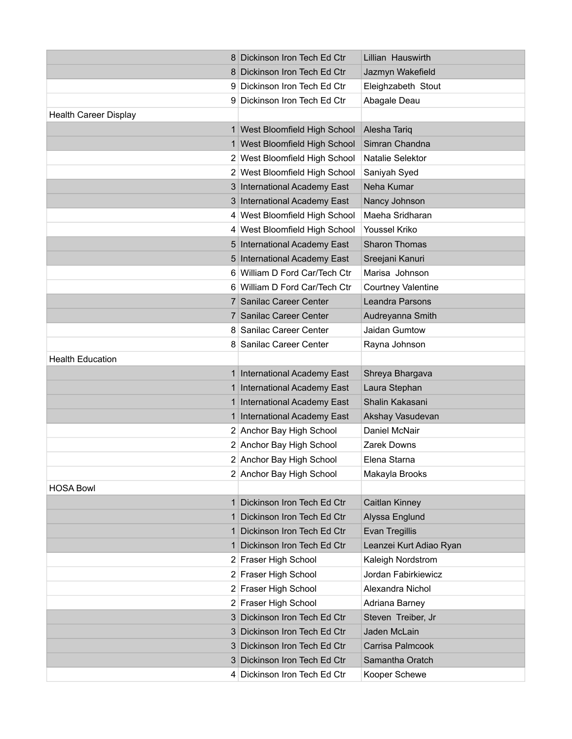|                              | 8 Dickinson Iron Tech Ed Ctr  | Lillian Hauswirth         |
|------------------------------|-------------------------------|---------------------------|
|                              | 8 Dickinson Iron Tech Ed Ctr  | Jazmyn Wakefield          |
|                              | 9 Dickinson Iron Tech Ed Ctr  | Eleighzabeth Stout        |
|                              | 9 Dickinson Iron Tech Ed Ctr  | Abagale Deau              |
| <b>Health Career Display</b> |                               |                           |
|                              | 1 West Bloomfield High School | Alesha Tariq              |
|                              | 1 West Bloomfield High School | Simran Chandna            |
|                              | 2 West Bloomfield High School | Natalie Selektor          |
|                              | 2 West Bloomfield High School | Saniyah Syed              |
|                              | 3 International Academy East  | Neha Kumar                |
|                              | 3 International Academy East  | Nancy Johnson             |
|                              | 4 West Bloomfield High School | Maeha Sridharan           |
|                              | 4 West Bloomfield High School | Youssel Kriko             |
|                              | 5 International Academy East  | <b>Sharon Thomas</b>      |
|                              | 5 International Academy East  | Sreejani Kanuri           |
|                              | 6 William D Ford Car/Tech Ctr | Marisa Johnson            |
|                              | 6 William D Ford Car/Tech Ctr | <b>Courtney Valentine</b> |
|                              | 7 Sanilac Career Center       | Leandra Parsons           |
|                              | 7 Sanilac Career Center       | Audreyanna Smith          |
|                              | 8 Sanilac Career Center       | Jaidan Gumtow             |
|                              | 8 Sanilac Career Center       | Rayna Johnson             |
| <b>Health Education</b>      |                               |                           |
|                              | 1 International Academy East  | Shreya Bhargava           |
| 1 <sup>1</sup>               | International Academy East    | Laura Stephan             |
| 1 <sup>1</sup>               | International Academy East    | Shalin Kakasani           |
|                              | 1 International Academy East  | Akshay Vasudevan          |
|                              | 2 Anchor Bay High School      | Daniel McNair             |
|                              | 2 Anchor Bay High School      | Zarek Downs               |
|                              | 2 Anchor Bay High School      | Elena Starna              |
|                              | 2 Anchor Bay High School      | Makayla Brooks            |
| <b>HOSA Bowl</b>             |                               |                           |
| $\mathbf{1}$                 | Dickinson Iron Tech Ed Ctr    | Caitlan Kinney            |
| 1 <sup>1</sup>               | Dickinson Iron Tech Ed Ctr    | Alyssa Englund            |
| 1 <sup>1</sup>               | Dickinson Iron Tech Ed Ctr    | <b>Evan Tregillis</b>     |
| 1 <sup>1</sup>               | Dickinson Iron Tech Ed Ctr    | Leanzei Kurt Adiao Ryan   |
|                              | 2 Fraser High School          | Kaleigh Nordstrom         |
|                              | 2 Fraser High School          | Jordan Fabirkiewicz       |
|                              | 2 Fraser High School          | Alexandra Nichol          |
|                              | 2 Fraser High School          | Adriana Barney            |
|                              | 3 Dickinson Iron Tech Ed Ctr  | Steven Treiber, Jr        |
| 31                           | Dickinson Iron Tech Ed Ctr    | Jaden McLain              |
|                              | 3 Dickinson Iron Tech Ed Ctr  | Carrisa Palmcook          |
|                              | 3 Dickinson Iron Tech Ed Ctr  | Samantha Oratch           |
|                              | 4 Dickinson Iron Tech Ed Ctr  | Kooper Schewe             |